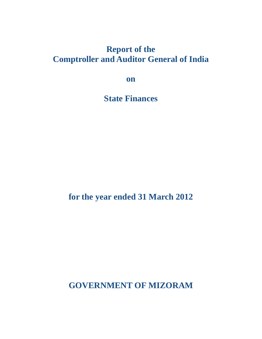## **Report of the Comptroller and Auditor General of India**

**on**

**State Finances**

**for the year ended 31 March 2012**

**GOVERNMENT OF MIZORAM**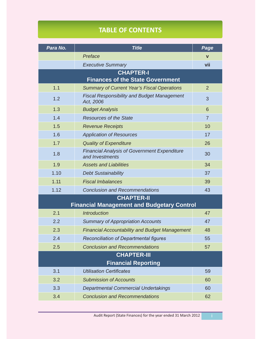## **TABLE OF CONTENTS**

| Para No.                                          | <b>Title</b>                                                           | Page           |  |  |
|---------------------------------------------------|------------------------------------------------------------------------|----------------|--|--|
|                                                   | Preface                                                                | $\mathbf v$    |  |  |
|                                                   | <b>Executive Summary</b>                                               | vii            |  |  |
| <b>CHAPTER-I</b>                                  |                                                                        |                |  |  |
|                                                   | <b>Finances of the State Government</b>                                |                |  |  |
| 1.1                                               | <b>Summary of Current Year's Fiscal Operations</b>                     | $\overline{2}$ |  |  |
| 1.2                                               | <b>Fiscal Responsibility and Budget Management</b><br>Act, 2006        | 3              |  |  |
| 1.3                                               | <b>Budget Analysis</b>                                                 | 6              |  |  |
| 1.4                                               | <b>Resources of the State</b>                                          | $\overline{7}$ |  |  |
| 1.5                                               | <b>Revenue Receipts</b>                                                | 10             |  |  |
| 1.6                                               | <b>Application of Resources</b>                                        | 17             |  |  |
| 1.7                                               | <b>Quality of Expenditure</b>                                          | 26             |  |  |
| 1.8                                               | <b>Financial Analysis of Government Expenditure</b><br>and Investments | 30             |  |  |
| 1.9                                               | <b>Assets and Liabilities</b>                                          | 34             |  |  |
| 1.10                                              | <b>Debt Sustainability</b>                                             | 37             |  |  |
| 1.11                                              | <b>Fiscal Imbalances</b>                                               | 39             |  |  |
| 1.12                                              | <b>Conclusion and Recommendations</b>                                  | 43             |  |  |
|                                                   | <b>CHAPTER-II</b>                                                      |                |  |  |
| <b>Financial Management and Budgetary Control</b> |                                                                        |                |  |  |
| 2.1                                               | <b>Introduction</b>                                                    | 47             |  |  |
| 2.2                                               | <b>Summary of Appropriation Accounts</b>                               | 47             |  |  |
| 2.3                                               | <b>Financial Accountability and Budget Management</b>                  | 48             |  |  |
| 2.4                                               | <b>Reconciliation of Departmental figures</b>                          | 55             |  |  |
| 2.5                                               | <b>Conclusion and Recommendations</b>                                  | 57             |  |  |
|                                                   | <b>CHAPTER-III</b>                                                     |                |  |  |
| <b>Financial Reporting</b>                        |                                                                        |                |  |  |
| 3.1                                               | <b>Utilisation Certificates</b>                                        | 59             |  |  |
| 3.2                                               | <b>Submission of Accounts</b>                                          | 60             |  |  |
| 3.3                                               | <b>Departmental Commercial Undertakings</b>                            | 60             |  |  |
| 3.4                                               | <b>Conclusion and Recommendations</b>                                  | 62             |  |  |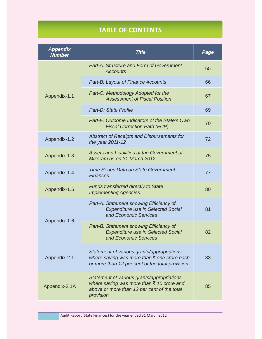## **TABLE OF CONTENTS**

| <b>Appendix</b><br><b>Number</b> | <b>Title</b>                                                                                                                                        | Page |
|----------------------------------|-----------------------------------------------------------------------------------------------------------------------------------------------------|------|
| Appendix-1.1                     | <b>Part-A: Structure and Form of Government</b><br><b>Accounts</b>                                                                                  | 65   |
|                                  | Part-B: Layout of Finance Accounts                                                                                                                  | 66   |
|                                  | Part-C: Methodology Adopted for the<br><b>Assessment of Fiscal Position</b>                                                                         | 67   |
|                                  | Part-D: State Profile                                                                                                                               | 69   |
|                                  | Part-E: Outcome Indicators of the State's Own<br><b>Fiscal Correction Path (FCP)</b>                                                                | 70   |
| Appendix-1.2                     | Abstract of Receipts and Disbursements for<br>the year 2011-12                                                                                      | 72   |
| Appendix-1.3                     | Assets and Liabilities of the Government of<br>Mizoram as on 31 March 2012                                                                          | 75   |
| Appendix-1.4                     | <b>Time Series Data on State Government</b><br><b>Finances</b>                                                                                      | 77   |
| Appendix-1.5                     | <b>Funds transferred directly to State</b><br><b>Implementing Agencies</b>                                                                          | 80   |
| Appendix-1.6                     | Part-A: Statement showing Efficiency of<br><b>Expenditure use in Selected Social</b><br>and Economic Services                                       | 81   |
|                                  | Part-B: Statement showing Efficiency of<br><b>Expenditure use in Selected Social</b><br>and Economic Services                                       | 82   |
| Appendix-2.1                     | Statement of various grants/appropriations<br>where saving was more than ₹ one crore each<br>or more than 12 per cent of the total provision        | 83   |
| Appendix-2.1A                    | Statement of various grants/appropriations<br>where saving was more than ₹ 10 crore and<br>above or more than 12 per cent of the total<br>provision | 85   |